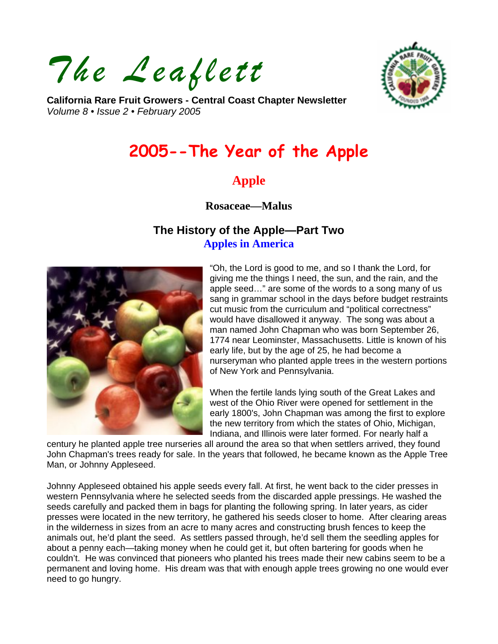*The Leaflett* 



**California Rare Fruit Growers - Central Coast Chapter Newsletter**  *Volume 8 • Issue 2 • February 2005* 

# **2005--The Year of the Apple**

# **Apple**

**Rosaceae—Malus** 

# **The History of the Apple—Part Two Apples in America**



"Oh, the Lord is good to me, and so I thank the Lord, for giving me the things I need, the sun, and the rain, and the apple seed…" are some of the words to a song many of us sang in grammar school in the days before budget restraints cut music from the curriculum and "political correctness" would have disallowed it anyway. The song was about a man named John Chapman who was born September 26, 1774 near Leominster, Massachusetts. Little is known of his early life, but by the age of 25, he had become a nurseryman who planted apple trees in the western portions of New York and Pennsylvania.

When the fertile lands lying south of the Great Lakes and west of the Ohio River were opened for settlement in the early 1800's, John Chapman was among the first to explore the new territory from which the states of Ohio, Michigan, Indiana, and Illinois were later formed. For nearly half a

century he planted apple tree nurseries all around the area so that when settlers arrived, they found John Chapman's trees ready for sale. In the years that followed, he became known as the Apple Tree Man, or Johnny Appleseed.

Johnny Appleseed obtained his apple seeds every fall. At first, he went back to the cider presses in western Pennsylvania where he selected seeds from the discarded apple pressings. He washed the seeds carefully and packed them in bags for planting the following spring. In later years, as cider presses were located in the new territory, he gathered his seeds closer to home. After clearing areas in the wilderness in sizes from an acre to many acres and constructing brush fences to keep the animals out, he'd plant the seed. As settlers passed through, he'd sell them the seedling apples for about a penny each—taking money when he could get it, but often bartering for goods when he couldn't. He was convinced that pioneers who planted his trees made their new cabins seem to be a permanent and loving home. His dream was that with enough apple trees growing no one would ever need to go hungry.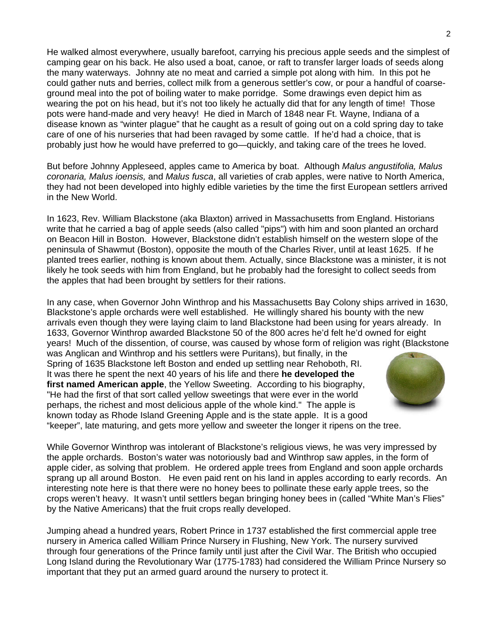He walked almost everywhere, usually barefoot, carrying his precious apple seeds and the simplest of camping gear on his back. He also used a boat, canoe, or raft to transfer larger loads of seeds along the many waterways. Johnny ate no meat and carried a simple pot along with him. In this pot he could gather nuts and berries, collect milk from a generous settler's cow, or pour a handful of coarseground meal into the pot of boiling water to make porridge. Some drawings even depict him as wearing the pot on his head, but it's not too likely he actually did that for any length of time! Those pots were hand-made and very heavy! He died in March of 1848 near Ft. Wayne, Indiana of a disease known as "winter plague" that he caught as a result of going out on a cold spring day to take care of one of his nurseries that had been ravaged by some cattle. If he'd had a choice, that is probably just how he would have preferred to go—quickly, and taking care of the trees he loved.

But before Johnny Appleseed, apples came to America by boat. Although *Malus angustifolia, Malus coronaria, Malus ioensis,* and *Malus fusca*, all varieties of crab apples, were native to North America, they had not been developed into highly edible varieties by the time the first European settlers arrived in the New World.

In 1623, Rev. William Blackstone (aka Blaxton) arrived in Massachusetts from England. Historians write that he carried a bag of apple seeds (also called "pips") with him and soon planted an orchard on Beacon Hill in Boston. However, Blackstone didn't establish himself on the western slope of the peninsula of Shawmut (Boston), opposite the mouth of the Charles River, until at least 1625. If he planted trees earlier, nothing is known about them. Actually, since Blackstone was a minister, it is not likely he took seeds with him from England, but he probably had the foresight to collect seeds from the apples that had been brought by settlers for their rations.

In any case, when Governor John Winthrop and his Massachusetts Bay Colony ships arrived in 1630, Blackstone's apple orchards were well established. He willingly shared his bounty with the new arrivals even though they were laying claim to land Blackstone had been using for years already. In 1633, Governor Winthrop awarded Blackstone 50 of the 800 acres he'd felt he'd owned for eight years! Much of the dissention, of course, was caused by whose form of religion was right (Blackstone

was Anglican and Winthrop and his settlers were Puritans), but finally, in the Spring of 1635 Blackstone left Boston and ended up settling near Rehoboth, RI. It was there he spent the next 40 years of his life and there **he developed the first named American apple**, the Yellow Sweeting. According to his biography, "He had the first of that sort called yellow sweetings that were ever in the world perhaps, the richest and most delicious apple of the whole kind." The apple is known today as Rhode Island Greening Apple and is the state apple. It is a good "keeper", late maturing, and gets more yellow and sweeter the longer it ripens on the tree.



While Governor Winthrop was intolerant of Blackstone's religious views, he was very impressed by the apple orchards. Boston's water was notoriously bad and Winthrop saw apples, in the form of apple cider, as solving that problem. He ordered apple trees from England and soon apple orchards sprang up all around Boston. He even paid rent on his land in apples according to early records. An interesting note here is that there were no honey bees to pollinate these early apple trees, so the crops weren't heavy. It wasn't until settlers began bringing honey bees in (called "White Man's Flies" by the Native Americans) that the fruit crops really developed.

Jumping ahead a hundred years, Robert Prince in 1737 established the first commercial apple tree nursery in America called William Prince Nursery in Flushing, New York. The nursery survived through four generations of the Prince family until just after the Civil War. The British who occupied Long Island during the Revolutionary War (1775-1783) had considered the William Prince Nursery so important that they put an armed guard around the nursery to protect it.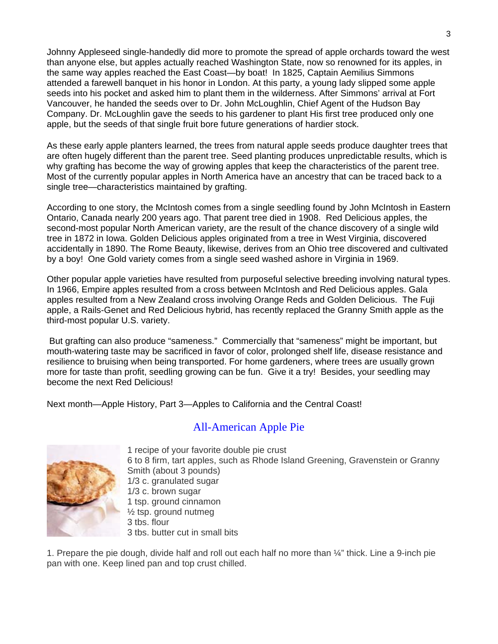Johnny Appleseed single-handedly did more to promote the spread of apple orchards toward the west than anyone else, but apples actually reached Washington State, now so renowned for its apples, in the same way apples reached the East Coast—by boat! In 1825, Captain Aemilius Simmons attended a farewell banquet in his honor in London. At this party, a young lady slipped some apple seeds into his pocket and asked him to plant them in the wilderness. After Simmons' arrival at Fort Vancouver, he handed the seeds over to Dr. John McLoughlin, Chief Agent of the Hudson Bay Company. Dr. McLoughlin gave the seeds to his gardener to plant His first tree produced only one apple, but the seeds of that single fruit bore future generations of hardier stock.

As these early apple planters learned, the trees from natural apple seeds produce daughter trees that are often hugely different than the parent tree. Seed planting produces unpredictable results, which is why grafting has become the way of growing apples that keep the characteristics of the parent tree. Most of the currently popular apples in North America have an ancestry that can be traced back to a single tree—characteristics maintained by grafting.

According to one story, the McIntosh comes from a single seedling found by John McIntosh in Eastern Ontario, Canada nearly 200 years ago. That parent tree died in 1908. Red Delicious apples, the second-most popular North American variety, are the result of the chance discovery of a single wild tree in 1872 in Iowa. Golden Delicious apples originated from a tree in West Virginia, discovered accidentally in 1890. The Rome Beauty, likewise, derives from an Ohio tree discovered and cultivated by a boy! One Gold variety comes from a single seed washed ashore in Virginia in 1969.

Other popular apple varieties have resulted from purposeful selective breeding involving natural types. In 1966, Empire apples resulted from a cross between McIntosh and Red Delicious apples. Gala apples resulted from a New Zealand cross involving Orange Reds and Golden Delicious. The Fuji apple, a Rails-Genet and Red Delicious hybrid, has recently replaced the Granny Smith apple as the third-most popular U.S. variety.

 But grafting can also produce "sameness." Commercially that "sameness" might be important, but mouth-watering taste may be sacrificed in favor of color, prolonged shelf life, disease resistance and resilience to bruising when being transported. For home gardeners, where trees are usually grown more for taste than profit, seedling growing can be fun. Give it a try! Besides, your seedling may become the next Red Delicious!

Next month—Apple History, Part 3—Apples to California and the Central Coast!

## All-American Apple Pie



1 recipe of your favorite double pie crust 6 to 8 firm, tart apples, such as Rhode Island Greening, Gravenstein or Granny Smith (about 3 pounds) 1/3 c. granulated sugar 1/3 c. brown sugar 1 tsp. ground cinnamon  $\frac{1}{2}$  tsp. ground nutmeg 3 tbs. flour 3 tbs. butter cut in small bits

1. Prepare the pie dough, divide half and roll out each half no more than ¼" thick. Line a 9-inch pie pan with one. Keep lined pan and top crust chilled.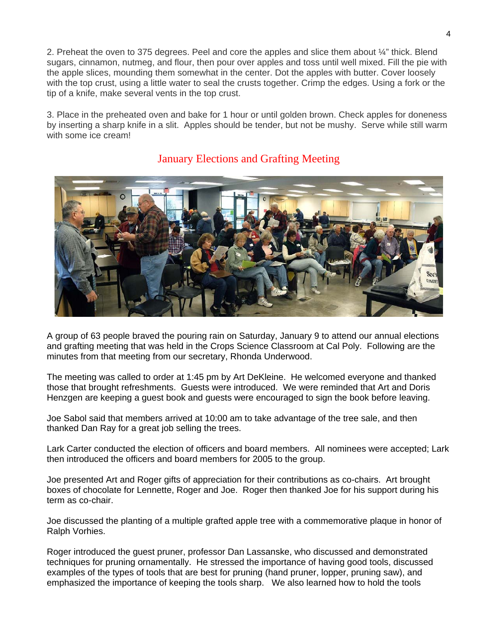2. Preheat the oven to 375 degrees. Peel and core the apples and slice them about ¼" thick. Blend sugars, cinnamon, nutmeg, and flour, then pour over apples and toss until well mixed. Fill the pie with the apple slices, mounding them somewhat in the center. Dot the apples with butter. Cover loosely with the top crust, using a little water to seal the crusts together. Crimp the edges. Using a fork or the tip of a knife, make several vents in the top crust.

3. Place in the preheated oven and bake for 1 hour or until golden brown. Check apples for doneness by inserting a sharp knife in a slit. Apples should be tender, but not be mushy. Serve while still warm with some ice cream!



## January Elections and Grafting Meeting

A group of 63 people braved the pouring rain on Saturday, January 9 to attend our annual elections and grafting meeting that was held in the Crops Science Classroom at Cal Poly. Following are the minutes from that meeting from our secretary, Rhonda Underwood.

The meeting was called to order at 1:45 pm by Art DeKleine. He welcomed everyone and thanked those that brought refreshments. Guests were introduced. We were reminded that Art and Doris Henzgen are keeping a guest book and guests were encouraged to sign the book before leaving.

Joe Sabol said that members arrived at 10:00 am to take advantage of the tree sale, and then thanked Dan Ray for a great job selling the trees.

Lark Carter conducted the election of officers and board members. All nominees were accepted; Lark then introduced the officers and board members for 2005 to the group.

Joe presented Art and Roger gifts of appreciation for their contributions as co-chairs. Art brought boxes of chocolate for Lennette, Roger and Joe. Roger then thanked Joe for his support during his term as co-chair.

Joe discussed the planting of a multiple grafted apple tree with a commemorative plaque in honor of Ralph Vorhies.

Roger introduced the guest pruner, professor Dan Lassanske, who discussed and demonstrated techniques for pruning ornamentally. He stressed the importance of having good tools, discussed examples of the types of tools that are best for pruning (hand pruner, lopper, pruning saw), and emphasized the importance of keeping the tools sharp. We also learned how to hold the tools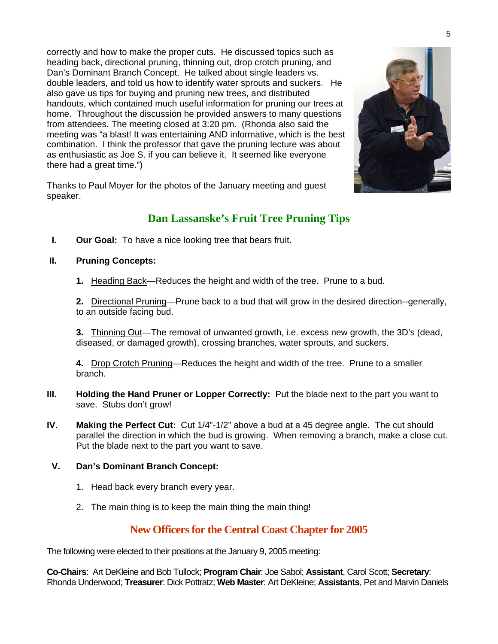correctly and how to make the proper cuts. He discussed topics such as heading back, directional pruning, thinning out, drop crotch pruning, and Dan's Dominant Branch Concept. He talked about single leaders vs. double leaders, and told us how to identify water sprouts and suckers. He also gave us tips for buying and pruning new trees, and distributed handouts, which contained much useful information for pruning our trees at home. Throughout the discussion he provided answers to many questions from attendees. The meeting closed at 3:20 pm. (Rhonda also said the meeting was "a blast! It was entertaining AND informative, which is the best combination. I think the professor that gave the pruning lecture was about as enthusiastic as Joe S. if you can believe it. It seemed like everyone there had a great time.")

Thanks to Paul Moyer for the photos of the January meeting and guest speaker.

# **Dan Lassanske's Fruit Tree Pruning Tips**

**I.** Our Goal: To have a nice looking tree that bears fruit.

#### **II. Pruning Concepts:**

**1.** Heading Back—Reduces the height and width of the tree. Prune to a bud.

**2.** Directional Pruning—Prune back to a bud that will grow in the desired direction--generally, to an outside facing bud.

**3.** Thinning Out—The removal of unwanted growth, i.e. excess new growth, the 3D's (dead, diseased, or damaged growth), crossing branches, water sprouts, and suckers.

**4.** Drop Crotch Pruning—Reduces the height and width of the tree. Prune to a smaller branch.

- **III.** Holding the Hand Pruner or Lopper Correctly: Put the blade next to the part you want to save. Stubs don't grow!
- **IV. Making the Perfect Cut:** Cut 1/4"-1/2" above a bud at a 45 degree angle. The cut should parallel the direction in which the bud is growing. When removing a branch, make a close cut. Put the blade next to the part you want to save.

#### **V. Dan's Dominant Branch Concept:**

- 1. Head back every branch every year.
- 2. The main thing is to keep the main thing the main thing!

## **New Officers for the Central Coast Chapter for 2005**

The following were elected to their positions at the January 9, 2005 meeting:

**Co-Chairs**: Art DeKleine and Bob Tullock; **Program Chair**: Joe Sabol; **Assistant**, Carol Scott; **Secretary**: Rhonda Underwood; **Treasurer**: Dick Pottratz; **Web Master**: Art DeKleine; **Assistants**, Pet and Marvin Daniels

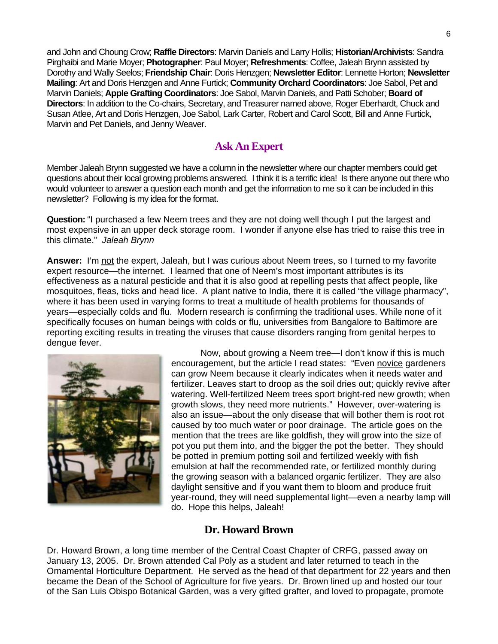and John and Choung Crow; **Raffle Directors**: Marvin Daniels and Larry Hollis; **Historian/Archivists**: Sandra Pirghaibi and Marie Moyer; **Photographer**: Paul Moyer; **Refreshments**: Coffee, Jaleah Brynn assisted by Dorothy and Wally Seelos; **Friendship Chair**: Doris Henzgen; **Newsletter Editor**: Lennette Horton; **Newsletter Mailing**: Art and Doris Henzgen and Anne Furtick; **Community Orchard Coordinators**: Joe Sabol, Pet and Marvin Daniels; **Apple Grafting Coordinators**: Joe Sabol, Marvin Daniels, and Patti Schober; **Board of Directors**: In addition to the Co-chairs, Secretary, and Treasurer named above, Roger Eberhardt, Chuck and Susan Atlee, Art and Doris Henzgen, Joe Sabol, Lark Carter, Robert and Carol Scott, Bill and Anne Furtick, Marvin and Pet Daniels, and Jenny Weaver.

# **Ask An Expert**

Member Jaleah Brynn suggested we have a column in the newsletter where our chapter members could get questions about their local growing problems answered. I think it is a terrific idea! Is there anyone out there who would volunteer to answer a question each month and get the information to me so it can be included in this newsletter? Following is my idea for the format.

**Question:** "I purchased a few Neem trees and they are not doing well though I put the largest and most expensive in an upper deck storage room. I wonder if anyone else has tried to raise this tree in this climate." *Jaleah Brynn*

**Answer:** I'm not the expert, Jaleah, but I was curious about Neem trees, so I turned to my favorite expert resource—the internet. I learned that one of Neem's most important attributes is its effectiveness as a natural pesticide and that it is also good at repelling pests that affect people, like mosquitoes, fleas, ticks and head lice. A plant native to India, there it is called "the village pharmacy", where it has been used in varying forms to treat a multitude of health problems for thousands of years—especially colds and flu. Modern research is confirming the traditional uses. While none of it specifically focuses on human beings with colds or flu, universities from Bangalore to Baltimore are reporting exciting results in treating the viruses that cause disorders ranging from genital herpes to dengue fever.



Now, about growing a Neem tree—I don't know if this is much encouragement, but the article I read states: "Even novice gardeners can grow Neem because it clearly indicates when it needs water and fertilizer. Leaves start to droop as the soil dries out; quickly revive after watering. Well-fertilized Neem trees sport bright-red new growth; when growth slows, they need more nutrients." However, over-watering is also an issue—about the only disease that will bother them is root rot caused by too much water or poor drainage. The article goes on the mention that the trees are like goldfish, they will grow into the size of pot you put them into, and the bigger the pot the better. They should be potted in premium potting soil and fertilized weekly with fish emulsion at half the recommended rate, or fertilized monthly during the growing season with a balanced organic fertilizer. They are also daylight sensitive and if you want them to bloom and produce fruit year-round, they will need supplemental light—even a nearby lamp will do. Hope this helps, Jaleah!

#### **Dr. Howard Brown**

Dr. Howard Brown, a long time member of the Central Coast Chapter of CRFG, passed away on January 13, 2005. Dr. Brown attended Cal Poly as a student and later returned to teach in the Ornamental Horticulture Department. He served as the head of that department for 22 years and then became the Dean of the School of Agriculture for five years. Dr. Brown lined up and hosted our tour of the San Luis Obispo Botanical Garden, was a very gifted grafter, and loved to propagate, promote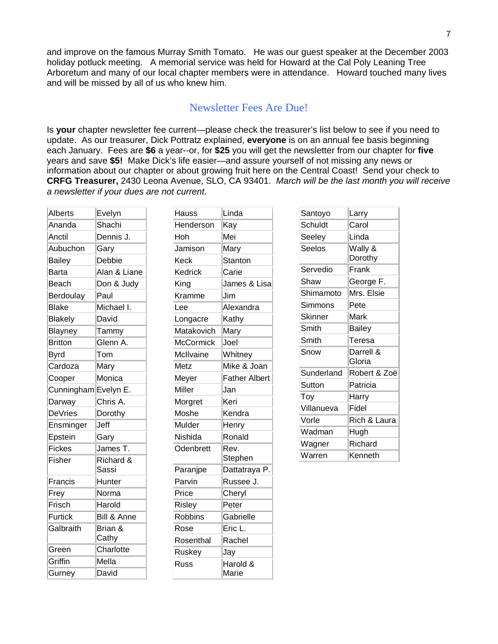and improve on the famous Murray Smith Tomato. He was our guest speaker at the December 2003 holiday potluck meeting. A memorial service was held for Howard at the Cal Poly Leaning Tree Arboretum and many of our local chapter members were in attendance. Howard touched many lives and will be missed by all of us who knew him.

# Newsletter Fees Are Due!

Is **your** chapter newsletter fee current—please check the treasurer's list below to see if you need to update. As our treasurer, Dick Pottratz explained, **everyone** is on an annual fee basis beginning each January. Fees are **\$6** a year--or, for **\$25** you will get the newsletter from our chapter for **five** years and save **\$5!** Make Dick's life easier—and assure yourself of not missing any news or information about our chapter or about growing fruit here on the Central Coast! Send your check to **CRFG Treasurer,** 2430 Leona Avenue, SLO, CA 93401. *March will be the last month you will receive a newsletter if your dues are not current.* 

| <b>Alberts</b>       | Evelyn       | <b>Hauss</b>     | Linda                | Santoyo        | Larry               |
|----------------------|--------------|------------------|----------------------|----------------|---------------------|
| Ananda               | Shachi       | Henderson        | Kay                  | Schuldt        | Carol               |
| Anctil               | Dennis J.    | Hoh              | Mei                  | Seeley         | Linda               |
| Aubuchon             | Gary         | Jamison          | Mary                 | Seelos         | Wally &             |
| <b>Bailey</b>        | Debbie       | <b>Keck</b>      | <b>Stanton</b>       |                | Dorothy             |
| <b>Barta</b>         | Alan & Liane | Kedrick          | Carie                | Servedio       | Frank               |
| Beach                | Don & Judy   | King             | James & Lisa         | Shaw           | George F.           |
| Berdoulay            | Paul         | Kramme           | Jim                  | Shimamoto      | Mrs. Elsie          |
| <b>Blake</b>         | Michael I.   | Lee              | Alexandra            | Simmons        | Pete                |
| <b>Blakely</b>       | David        | Longacre         | Kathy                | <b>Skinner</b> | Mark                |
| Blayney              | Tammy        | Matakovich       | Mary                 | Smith          | <b>Bailey</b>       |
| <b>Britton</b>       | Glenn A.     | <b>McCormick</b> | Joel                 | Smith          | Teresa              |
| <b>Byrd</b>          | Tom          | McIlvaine        | Whitney              | Snow           | Darrell &<br>Gloria |
| Cardoza              | Mary         | Metz             | Mike & Joan          |                |                     |
| Cooper               | Monica       | Meyer            | <b>Father Albert</b> | Sunderland     | Robert & Zoë        |
| Cunningham Evelyn E. |              | Miller           | Jan                  | Sutton         | Patricia            |
| Darway               | Chris A.     | Morgret          | Keri                 | Toy            | Harry               |
| <b>DeVries</b>       | Dorothy      | Moshe            | Kendra               | Villanueva     | Fidel               |
| Ensminger            | Jeff         | Mulder           | Henry                | Vorle          | Rich & Laura        |
| Epstein              | Gary         | Nishida          | Ronald               | Wadman         | Hugh                |
| <b>Fickes</b>        | James T.     | Odenbrett        | Rev.                 | Wagner         | Richard             |
| Fisher               | Richard &    |                  | Stephen              | Warren         | Kenneth             |
|                      | Sassi        | Paranjpe         | Dattatraya P.        |                |                     |
| Francis              | Hunter       | Parvin           | Russee J.            |                |                     |
| Frey                 | Norma        | Price            | Cheryl               |                |                     |
| Frisch               | Harold       | Risley           | Peter                |                |                     |
| <b>Furtick</b>       | Bill & Anne  | <b>Robbins</b>   | Gabrielle            |                |                     |
| Galbraith            | Brian &      | Rose             | Eric L.              |                |                     |
|                      | Cathy        | Rosenthal        | Rachel               |                |                     |
| Green                | Charlotte    | Ruskey           | Jay                  |                |                     |
| Griffin              | Mella        | <b>Russ</b>      | Harold &             |                |                     |
| Gurney               | David        |                  | Marie                |                |                     |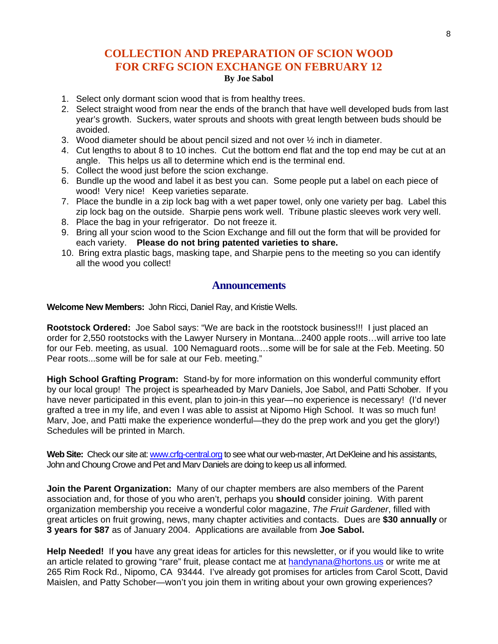## **COLLECTION AND PREPARATION OF SCION WOOD FOR CRFG SCION EXCHANGE ON FEBRUARY 12 By Joe Sabol**

- 1. Select only dormant scion wood that is from healthy trees.
- 2. Select straight wood from near the ends of the branch that have well developed buds from last year's growth. Suckers, water sprouts and shoots with great length between buds should be avoided.
- 3. Wood diameter should be about pencil sized and not over  $\frac{1}{2}$  inch in diameter.
- 4. Cut lengths to about 8 to 10 inches. Cut the bottom end flat and the top end may be cut at an angle. This helps us all to determine which end is the terminal end.
- 5. Collect the wood just before the scion exchange.
- 6. Bundle up the wood and label it as best you can. Some people put a label on each piece of wood! Very nice! Keep varieties separate.
- 7. Place the bundle in a zip lock bag with a wet paper towel, only one variety per bag. Label this zip lock bag on the outside. Sharpie pens work well. Tribune plastic sleeves work very well.
- 8. Place the bag in your refrigerator. Do not freeze it.
- 9. Bring all your scion wood to the Scion Exchange and fill out the form that will be provided for each variety. **Please do not bring patented varieties to share.**
- 10. Bring extra plastic bags, masking tape, and Sharpie pens to the meeting so you can identify all the wood you collect!

#### **Announcements**

**Welcome New Members:** John Ricci, Daniel Ray, and Kristie Wells.

**Rootstock Ordered:** Joe Sabol says: "We are back in the rootstock business!!! I just placed an order for 2,550 rootstocks with the Lawyer Nursery in Montana...2400 apple roots…will arrive too late for our Feb. meeting, as usual. 100 Nemaguard roots…some will be for sale at the Feb. Meeting. 50 Pear roots...some will be for sale at our Feb. meeting."

**High School Grafting Program:** Stand-by for more information on this wonderful community effort by our local group! The project is spearheaded by Marv Daniels, Joe Sabol, and Patti Schober. If you have never participated in this event, plan to join-in this year—no experience is necessary! (I'd never grafted a tree in my life, and even I was able to assist at Nipomo High School. It was so much fun! Marv, Joe, and Patti make the experience wonderful—they do the prep work and you get the glory!) Schedules will be printed in March.

Web Site: Check our site at: [www.crfg-central.org](http://www.crfg-central.org/) to see what our web-master, Art DeKleine and his assistants, John and Choung Crowe and Pet and Marv Daniels are doing to keep us all informed.

**Join the Parent Organization:** Many of our chapter members are also members of the Parent association and, for those of you who aren't, perhaps you **should** consider joining. With parent organization membership you receive a wonderful color magazine, *The Fruit Gardener*, filled with great articles on fruit growing, news, many chapter activities and contacts. Dues are **\$30 annually** or **3 years for \$87** as of January 2004. Applications are available from **Joe Sabol.** 

**Help Needed!** If **you** have any great ideas for articles for this newsletter, or if you would like to write an article related to growing "rare" fruit, please contact me at [handynana@hortons.us](mailto:handynana@hortons.us) or write me at 265 Rim Rock Rd., Nipomo, CA 93444. I've already got promises for articles from Carol Scott, David Maislen, and Patty Schober—won't you join them in writing about your own growing experiences?